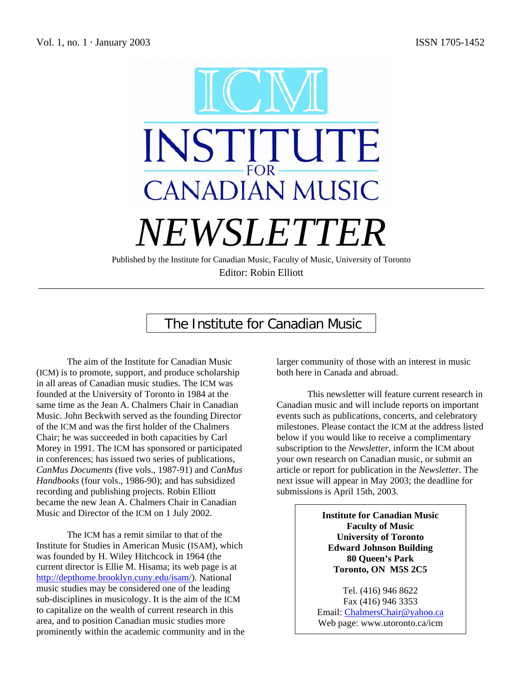

# The Institute for Canadian Music

The aim of the Institute for Canadian Music (ICM) is to promote, support, and produce scholarship in all areas of Canadian music studies. The ICM was founded at the University of Toronto in 1984 at the same time as the Jean A. Chalmers Chair in Canadian Music. John Beckwith served as the founding Director of the ICM and was the first holder of the Chalmers Chair; he was succeeded in both capacities by Carl Morey in 1991. The ICM has sponsored or participated in conferences; has issued two series of publications, *CanMus Documents* (five vols., 1987-91) and *CanMus Handbooks* (four vols., 1986-90); and has subsidized recording and publishing projects. Robin Elliott became the new Jean A. Chalmers Chair in Canadian Music and Director of the ICM on 1 July 2002.

The ICM has a remit similar to that of the Institute for Studies in American Music (ISAM), which was founded by H. Wiley Hitchcock in 1964 (the current director is Ellie M. Hisama; its web page is at http://depthome.brooklyn.cuny.edu/isam/). National music studies may be considered one of the leading sub-disciplines in musicology. It is the aim of the ICM to capitalize on the wealth of current research in this area, and to position Canadian music studies more prominently within the academic community and in the larger community of those with an interest in music both here in Canada and abroad.

This newsletter will feature current research in Canadian music and will include reports on important events such as publications, concerts, and celebratory milestones. Please contact the ICM at the address listed below if you would like to receive a complimentary subscription to the *Newsletter*, inform the ICM about your own research on Canadian music, or submit an article or report for publication in the *Newsletter*. The next issue will appear in May 2003; the deadline for submissions is April 15th, 2003.

> **Institute for Canadian Music Faculty of Music University of Toronto Edward Johnson Building 80 Queen's Park Toronto, ON M5S 2C5**

Tel. (416) 946 8622 Fax (416) 946 3353 Email: ChalmersChair@yahoo.ca Web page: www.utoronto.ca/icm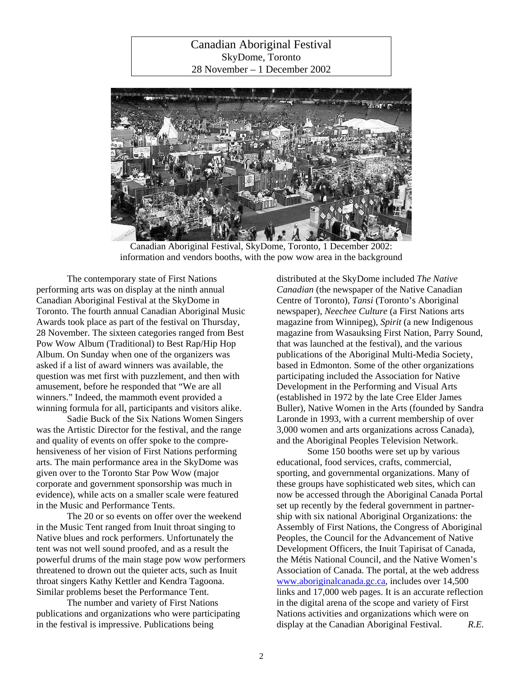Canadian Aboriginal Festival SkyDome, Toronto 28 November – 1 December 2002



Canadian Aboriginal Festival, SkyDome, Toronto, 1 December 2002: information and vendors booths, with the pow wow area in the background

The contemporary state of First Nations performing arts was on display at the ninth annual Canadian Aboriginal Festival at the SkyDome in Toronto. The fourth annual Canadian Aboriginal Music Awards took place as part of the festival on Thursday, 28 November. The sixteen categories ranged from Best Pow Wow Album (Traditional) to Best Rap/Hip Hop Album. On Sunday when one of the organizers was asked if a list of award winners was available, the question was met first with puzzlement, and then with amusement, before he responded that "We are all winners." Indeed, the mammoth event provided a winning formula for all, participants and visitors alike.

Sadie Buck of the Six Nations Women Singers was the Artistic Director for the festival, and the range and quality of events on offer spoke to the comprehensiveness of her vision of First Nations performing arts. The main performance area in the SkyDome was given over to the Toronto Star Pow Wow (major corporate and government sponsorship was much in evidence), while acts on a smaller scale were featured in the Music and Performance Tents.

The 20 or so events on offer over the weekend in the Music Tent ranged from Inuit throat singing to Native blues and rock performers. Unfortunately the tent was not well sound proofed, and as a result the powerful drums of the main stage pow wow performers threatened to drown out the quieter acts, such as Inuit throat singers Kathy Kettler and Kendra Tagoona. Similar problems beset the Performance Tent.

The number and variety of First Nations publications and organizations who were participating in the festival is impressive. Publications being

distributed at the SkyDome included *The Native Canadian* (the newspaper of the Native Canadian Centre of Toronto), *Tansi* (Toronto's Aboriginal newspaper), *Neechee Culture* (a First Nations arts magazine from Winnipeg), *Spirit* (a new Indigenous magazine from Wasauksing First Nation, Parry Sound, that was launched at the festival), and the various publications of the Aboriginal Multi-Media Society, based in Edmonton. Some of the other organizations participating included the Association for Native Development in the Performing and Visual Arts (established in 1972 by the late Cree Elder James Buller), Native Women in the Arts (founded by Sandra Laronde in 1993, with a current membership of over 3,000 women and arts organizations across Canada), and the Aboriginal Peoples Television Network.

Some 150 booths were set up by various educational, food services, crafts, commercial, sporting, and governmental organizations. Many of these groups have sophisticated web sites, which can now be accessed through the Aboriginal Canada Portal set up recently by the federal government in partnership with six national Aboriginal Organizations: the Assembly of First Nations, the Congress of Aboriginal Peoples, the Council for the Advancement of Native Development Officers, the Inuit Tapirisat of Canada, the Métis National Council, and the Native Women's Association of Canada. The portal, at the web address www.aboriginalcanada.gc.ca, includes over 14,500 links and 17,000 web pages. It is an accurate reflection in the digital arena of the scope and variety of First Nations activities and organizations which were on display at the Canadian Aboriginal Festival. *R.E.*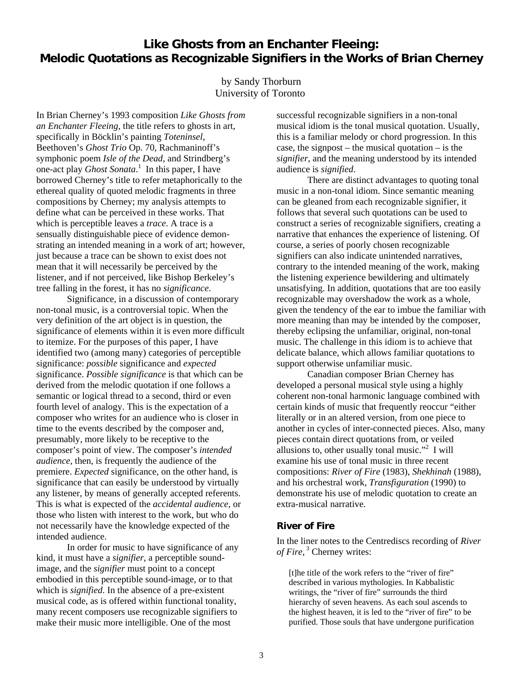# **Like Ghosts from an Enchanter Fleeing: Melodic Quotations as Recognizable Signifiers in the Works of Brian Cherney**

#### by Sandy Thorburn University of Toronto

In Brian Cherney's 1993 composition *Like Ghosts from an Enchanter Fleeing*, the title refers to ghosts in art, specifically in Böcklin's painting *Toteninsel*, Beethoven's *Ghost Trio* Op. 70, Rachmaninoff's symphonic poem *Isle of the Dead*, and Strindberg's one-act play *Ghost Sonata*. 1 In this paper, I have borrowed Cherney's title to refer metaphorically to the ethereal quality of quoted melodic fragments in three compositions by Cherney; my analysis attempts to define what can be perceived in these works. That which is perceptible leaves a *trace*. A trace is a sensually distinguishable piece of evidence demonstrating an intended meaning in a work of art; however, just because a trace can be shown to exist does not mean that it will necessarily be perceived by the listener, and if not perceived, like Bishop Berkeley's tree falling in the forest, it has no *significance*.

 Significance*,* in a discussion of contemporary non-tonal music, is a controversial topic. When the very definition of the art object is in question, the significance of elements within it is even more difficult to itemize. For the purposes of this paper, I have identified two (among many) categories of perceptible significance: *possible* significance and *expected* significance. *Possible significance* is that which can be derived from the melodic quotation if one follows a semantic or logical thread to a second, third or even fourth level of analogy. This is the expectation of a composer who writes for an audience who is closer in time to the events described by the composer and, presumably, more likely to be receptive to the composer's point of view. The composer's *intended audience*, then, is frequently the audience of the premiere. *Expected* significance, on the other hand, is significance that can easily be understood by virtually any listener, by means of generally accepted referents. This is what is expected of the *accidental audience*, or those who listen with interest to the work, but who do not necessarily have the knowledge expected of the intended audience.

 In order for music to have significance of any kind, it must have a *signifier*, a perceptible soundimage, and the *signifier* must point to a concept embodied in this perceptible sound-image, or to that which is *signified*. In the absence of a pre-existent musical code, as is offered within functional tonality, many recent composers use recognizable signifiers to make their music more intelligible. One of the most

successful recognizable signifiers in a non-tonal musical idiom is the tonal musical quotation. Usually, this is a familiar melody or chord progression. In this case, the signpost – the musical quotation – is the *signifier*, and the meaning understood by its intended audience is *signified*.

 There are distinct advantages to quoting tonal music in a non-tonal idiom. Since semantic meaning can be gleaned from each recognizable signifier, it follows that several such quotations can be used to construct a series of recognizable signifiers, creating a narrative that enhances the experience of listening. Of course, a series of poorly chosen recognizable signifiers can also indicate unintended narratives, contrary to the intended meaning of the work, making the listening experience bewildering and ultimately unsatisfying. In addition, quotations that are too easily recognizable may overshadow the work as a whole, given the tendency of the ear to imbue the familiar with more meaning than may be intended by the composer, thereby eclipsing the unfamiliar, original, non-tonal music. The challenge in this idiom is to achieve that delicate balance, which allows familiar quotations to support otherwise unfamiliar music.

 Canadian composer Brian Cherney has developed a personal musical style using a highly coherent non-tonal harmonic language combined with certain kinds of music that frequently reoccur "either literally or in an altered version, from one piece to another in cycles of inter-connected pieces. Also, many pieces contain direct quotations from, or veiled allusions to, other usually tonal music."<sup>2</sup> I will examine his use of tonal music in three recent compositions: *River of Fire* (1983), *Shekhinah* (1988), and his orchestral work, *Transfiguration* (1990) to demonstrate his use of melodic quotation to create an extra-musical narrative.

#### **River of Fire**

In the liner notes to the Centrediscs recording of *River*  of Fire, <sup>3</sup> Cherney writes:

[t]he title of the work refers to the "river of fire" described in various mythologies. In Kabbalistic writings, the "river of fire" surrounds the third hierarchy of seven heavens. As each soul ascends to the highest heaven, it is led to the "river of fire" to be purified. Those souls that have undergone purification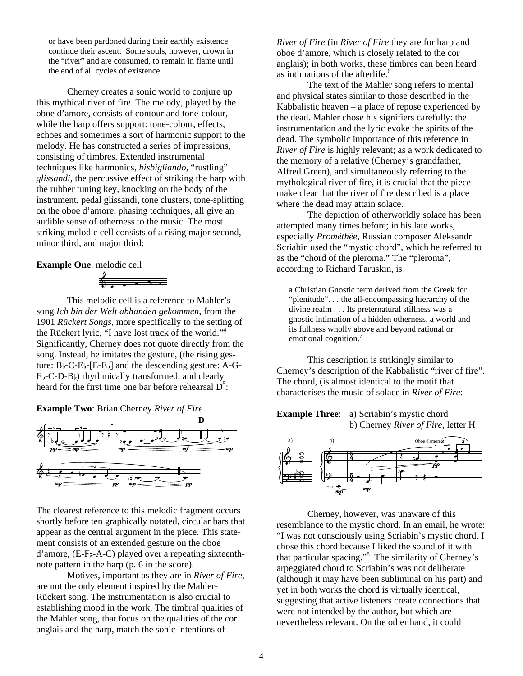or have been pardoned during their earthly existence continue their ascent. Some souls, however, drown in the "river" and are consumed, to remain in flame until the end of all cycles of existence.

Cherney creates a sonic world to conjure up this mythical river of fire. The melody, played by the oboe d'amore, consists of contour and tone-colour, while the harp offers support: tone-colour, effects, echoes and sometimes a sort of harmonic support to the melody. He has constructed a series of impressions, consisting of timbres. Extended instrumental techniques like harmonics, *bisbigliando*, "rustling" *glissandi*, the percussive effect of striking the harp with the rubber tuning key, knocking on the body of the instrument, pedal glissandi, tone clusters, tone-splitting on the oboe d'amore, phasing techniques, all give an audible sense of otherness to the music. The most striking melodic cell consists of a rising major second, minor third, and major third:

#### **Example One**: melodic cell

 $6 + 1$ 

This melodic cell is a reference to Mahler's song *Ich bin der Welt abhanden gekommen*, from the 1901 *Rückert Songs*, more specifically to the setting of the Rückert lyric, "I have lost track of the world."<sup>4</sup> Significantly, Cherney does not quote directly from the song. Instead, he imitates the gesture, (the rising gesture:  $B$  |-C-E |-[E-E | ] and the descending gesture: A-G- $E_{\flat}$ -C-D-B $_{\flat}$ ) rhythmically transformed, and clearly heard for the first time one bar before rehearsal  $D^5$ :

**Example Two**: Brian Cherney *River of Fire*



The clearest reference to this melodic fragment occurs shortly before ten graphically notated, circular bars that appear as the central argument in the piece. This statement consists of an extended gesture on the oboe  $d'$ amore, (E-F $\sharp$ -A-C) played over a repeating sixteenthnote pattern in the harp (p. 6 in the score).

Motives, important as they are in *River of Fire*, are not the only element inspired by the Mahler-Rückert song. The instrumentation is also crucial to establishing mood in the work. The timbral qualities of the Mahler song, that focus on the qualities of the cor anglais and the harp, match the sonic intentions of

*River of Fire* (in *River of Fire* they are for harp and oboe d'amore, which is closely related to the cor anglais); in both works, these timbres can been heard as intimations of the afterlife.<sup>6</sup>

The text of the Mahler song refers to mental and physical states similar to those described in the Kabbalistic heaven – a place of repose experienced by the dead. Mahler chose his signifiers carefully: the instrumentation and the lyric evoke the spirits of the dead. The symbolic importance of this reference in *River of Fire* is highly relevant; as a work dedicated to the memory of a relative (Cherney's grandfather, Alfred Green), and simultaneously referring to the mythological river of fire, it is crucial that the piece make clear that the river of fire described is a place where the dead may attain solace.

The depiction of otherworldly solace has been attempted many times before; in his late works, especially *Prométhée*, Russian composer Aleksandr Scriabin used the "mystic chord", which he referred to as the "chord of the pleroma." The "pleroma", according to Richard Taruskin, is

a Christian Gnostic term derived from the Greek for "plenitude". . . the all-encompassing hierarchy of the divine realm . . . Its preternatural stillness was a gnostic intimation of a hidden otherness, a world and its fullness wholly above and beyond rational or emotional cognition.<sup>7</sup>

This description is strikingly similar to Cherney's description of the Kabbalistic "river of fire". The chord, (is almost identical to the motif that characterises the music of solace in *River of Fire*:

**Example Three:** a) Scriabin's mystic chord b) Cherney *River of Fire*, letter H



Cherney, however, was unaware of this resemblance to the mystic chord. In an email, he wrote: "I was not consciously using Scriabin's mystic chord. I chose this chord because I liked the sound of it with that particular spacing."8 The similarity of Cherney's arpeggiated chord to Scriabin's was not deliberate (although it may have been subliminal on his part) and yet in both works the chord is virtually identical, suggesting that active listeners create connections that were not intended by the author, but which are nevertheless relevant. On the other hand, it could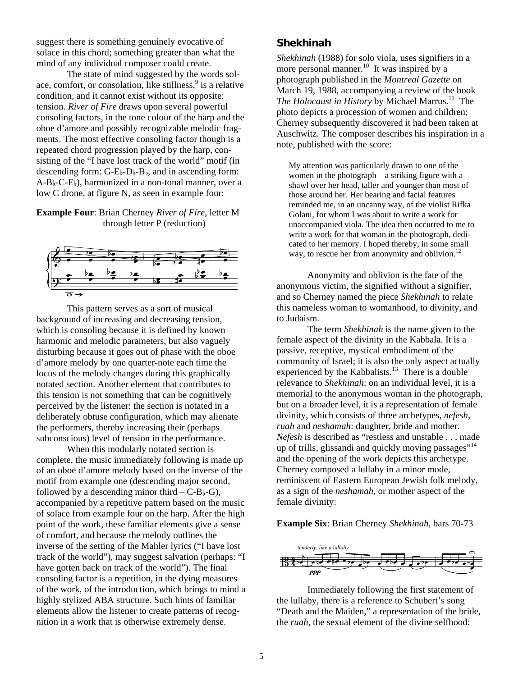suggest there is something genuinely evocative of solace in this chord; something greater than what the mind of any individual composer could create.

The state of mind suggested by the words solace, comfort, or consolation, like stillness,<sup>9</sup> is a relative condition, and it cannot exist without its opposite: tension. *River of Fire* draws upon several powerful consoling factors, in the tone colour of the harp and the oboe d'amore and possibly recognizable melodic fragments. The most effective consoling factor though is a repeated chord progression played by the harp, consisting of the "I have lost track of the world" motif (in descending form:  $G-E_{\nu}-D_{\nu}-B_{\nu}$ , and in ascending form:  $A-B_{\nu}$ -C-E $_{\nu}$ ), harmonized in a non-tonal manner, over a low C drone, at figure N, as seen in example four:

#### **Example Four**: Brian Cherney *River of Fire*, letter M through letter P (reduction)



This pattern serves as a sort of musical background of increasing and decreasing tension, which is consoling because it is defined by known harmonic and melodic parameters, but also vaguely disturbing because it goes out of phase with the oboe d'amore melody by one quarter-note each time the locus of the melody changes during this graphically notated section. Another element that contributes to this tension is not something that can be cognitively perceived by the listener: the section is notated in a deliberately obtuse configuration, which may alienate the performers, thereby increasing their (perhaps subconscious) level of tension in the performance.

When this modularly notated section is complete, the music immediately following is made up of an oboe d'amore melody based on the inverse of the motif from example one (descending major second, followed by a descending minor third  $-C-B$  $\rightarrow$ -G), accompanied by a repetitive pattern based on the music of solace from example four on the harp. After the high point of the work, these familiar elements give a sense of comfort, and because the melody outlines the inverse of the setting of the Mahler lyrics ("I have lost track of the world"), may suggest salvation (perhaps: "I have gotten back on track of the world"). The final consoling factor is a repetition, in the dying measures of the work, of the introduction, which brings to mind a highly stylized ABA structure. Such hints of familiar elements allow the listener to create patterns of recognition in a work that is otherwise extremely dense.

#### **Shekhinah**

*Shekhinah* (1988) for solo viola, uses signifiers in a more personal manner.<sup>10</sup> It was inspired by a photograph published in the *Montreal Gazette* on March 19, 1988, accompanying a review of the book *The Holocaust in History* by Michael Marrus.<sup>11</sup> The photo depicts a procession of women and children; Cherney subsequently discovered it had been taken at Auschwitz. The composer describes his inspiration in a note, published with the score:

My attention was particularly drawn to one of the women in the photograph – a striking figure with a shawl over her head, taller and younger than most of those around her. Her bearing and facial features reminded me, in an uncanny way, of the violist Rifka Golani, for whom I was about to write a work for unaccompanied viola. The idea then occurred to me to write a work for that woman in the photograph, dedicated to her memory. I hoped thereby, in some small way, to rescue her from anonymity and oblivion. $^{12}$ 

Anonymity and oblivion is the fate of the anonymous victim, the signified without a signifier, and so Cherney named the piece *Shekhinah* to relate this nameless woman to womanhood, to divinity, and to Judaism.

 The term *Shekhinah* is the name given to the female aspect of the divinity in the Kabbala. It is a passive, receptive, mystical embodiment of the community of Israel; it is also the only aspect actually experienced by the Kabbalists.<sup>13</sup> There is a double relevance to *Shekhinah*: on an individual level, it is a memorial to the anonymous woman in the photograph, but on a broader level, it is a representation of female divinity, which consists of three archetypes, *nefesh*, *ruah* and *neshamah*: daughter, bride and mother. *Nefesh* is described as "restless and unstable . . . made up of trills, glissandi and quickly moving passages"<sup>14</sup> and the opening of the work depicts this archetype. Cherney composed a lullaby in a minor mode, reminiscent of Eastern European Jewish folk melody, as a sign of the *neshamah*, or mother aspect of the female divinity:

#### **Example Six**: Brian Cherney *Shekhinah*, bars 70-73



Immediately following the first statement of the lullaby, there is a reference to Schubert's song "Death and the Maiden," a representation of the bride, the *ruah*, the sexual element of the divine selfhood: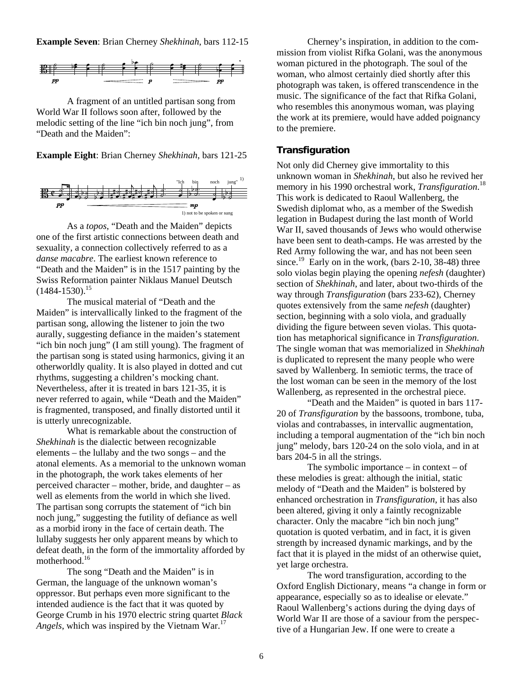**Example Seven**: Brian Cherney *Shekhinah*, bars 112-15



A fragment of an untitled partisan song from World War II follows soon after, followed by the melodic setting of the line "ich bin noch jung", from "Death and the Maiden":

**Example Eight**: Brian Cherney *Shekhinah*, bars 121-25



 As a *topos*, "Death and the Maiden" depicts one of the first artistic connections between death and sexuality, a connection collectively referred to as a *danse macabre*. The earliest known reference to "Death and the Maiden" is in the 1517 painting by the Swiss Reformation painter Niklaus Manuel Deutsch  $(1484-1530).$ <sup>15</sup>

The musical material of "Death and the Maiden" is intervallically linked to the fragment of the partisan song, allowing the listener to join the two aurally, suggesting defiance in the maiden's statement "ich bin noch jung" (I am still young). The fragment of the partisan song is stated using harmonics, giving it an otherworldly quality. It is also played in dotted and cut rhythms, suggesting a children's mocking chant. Nevertheless, after it is treated in bars 121-35, it is never referred to again, while "Death and the Maiden" is fragmented, transposed, and finally distorted until it is utterly unrecognizable.

What is remarkable about the construction of *Shekhinah* is the dialectic between recognizable elements – the lullaby and the two songs – and the atonal elements. As a memorial to the unknown woman in the photograph, the work takes elements of her perceived character – mother, bride, and daughter – as well as elements from the world in which she lived. The partisan song corrupts the statement of "ich bin noch jung," suggesting the futility of defiance as well as a morbid irony in the face of certain death. The lullaby suggests her only apparent means by which to defeat death, in the form of the immortality afforded by motherhood.<sup>16</sup>

The song "Death and the Maiden" is in German, the language of the unknown woman's oppressor. But perhaps even more significant to the intended audience is the fact that it was quoted by George Crumb in his 1970 electric string quartet *Black Angels*, which was inspired by the Vietnam War.<sup>17</sup>

Cherney's inspiration, in addition to the commission from violist Rifka Golani, was the anonymous woman pictured in the photograph. The soul of the woman, who almost certainly died shortly after this photograph was taken, is offered transcendence in the music. The significance of the fact that Rifka Golani, who resembles this anonymous woman, was playing the work at its premiere, would have added poignancy to the premiere.

#### **Transfiguration**

Not only did Cherney give immortality to this unknown woman in *Shekhinah*, but also he revived her memory in his 1990 orchestral work, *Transfiguration*. 18 This work is dedicated to Raoul Wallenberg, the Swedish diplomat who, as a member of the Swedish legation in Budapest during the last month of World War II, saved thousands of Jews who would otherwise have been sent to death-camps. He was arrested by the Red Army following the war, and has not been seen since.<sup>19</sup> Early on in the work, (bars 2-10, 38-48) three solo violas begin playing the opening *nefesh* (daughter) section of *Shekhinah*, and later, about two-thirds of the way through *Transfiguration* (bars 233-62), Cherney quotes extensively from the same *nefesh* (daughter) section, beginning with a solo viola, and gradually dividing the figure between seven violas. This quotation has metaphorical significance in *Transfiguration*. The single woman that was memorialized in *Shekhinah* is duplicated to represent the many people who were saved by Wallenberg. In semiotic terms, the trace of the lost woman can be seen in the memory of the lost Wallenberg, as represented in the orchestral piece.

"Death and the Maiden" is quoted in bars 117- 20 of *Transfiguration* by the bassoons, trombone, tuba, violas and contrabasses, in intervallic augmentation, including a temporal augmentation of the "ich bin noch jung" melody, bars 120-24 on the solo viola, and in at bars 204-5 in all the strings.

The symbolic importance  $-$  in context  $-$  of these melodies is great: although the initial, static melody of "Death and the Maiden" is bolstered by enhanced orchestration in *Transfiguration*, it has also been altered, giving it only a faintly recognizable character. Only the macabre "ich bin noch jung" quotation is quoted verbatim, and in fact, it is given strength by increased dynamic markings, and by the fact that it is played in the midst of an otherwise quiet, yet large orchestra.

The word transfiguration, according to the Oxford English Dictionary, means "a change in form or appearance, especially so as to idealise or elevate." Raoul Wallenberg's actions during the dying days of World War II are those of a saviour from the perspective of a Hungarian Jew. If one were to create a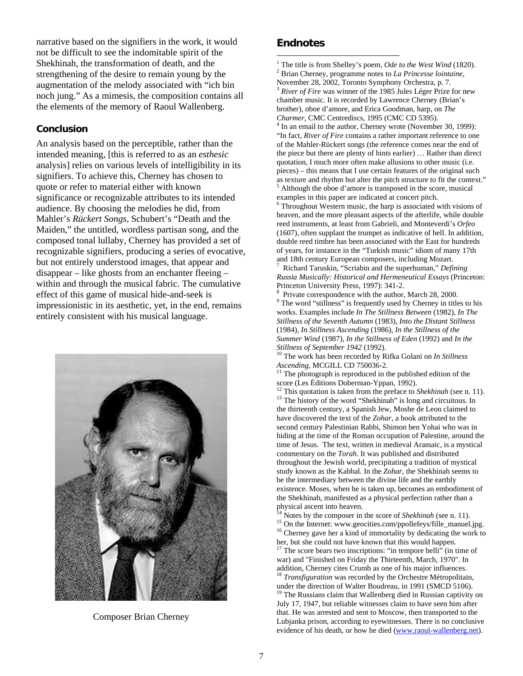narrative based on the signifiers in the work, it would not be difficult to see the indomitable spirit of the Shekhinah, the transformation of death, and the strengthening of the desire to remain young by the augmentation of the melody associated with "ich bin noch jung." As a mimesis, the composition contains all the elements of the memory of Raoul Wallenberg.

#### **Conclusion**

An analysis based on the perceptible, rather than the intended meaning, [this is referred to as an *esthesic* analysis] relies on various levels of intelligibility in its signifiers. To achieve this, Cherney has chosen to quote or refer to material either with known significance or recognizable attributes to its intended audience. By choosing the melodies he did, from Mahler's *Rückert Songs*, Schubert's "Death and the Maiden," the untitled, wordless partisan song, and the composed tonal lullaby, Cherney has provided a set of recognizable signifiers, producing a series of evocative, but not entirely understood images, that appear and disappear – like ghosts from an enchanter fleeing – within and through the musical fabric. The cumulative effect of this game of musical hide-and-seek is impressionistic in its aesthetic, yet, in the end, remains entirely consistent with his musical language.



Composer Brian Cherney

#### **Endnotes**

 $\overline{a}$ <sup>1</sup> The title is from Shelley's poem, *Ode to the West Wind* (1820).

 Brian Cherney, programme notes to *La Princesse lointaine*, November 28, 2002, Toronto Symphony Orchestra, p. 7.  *River of Fire* was winner of the 1985 Jules Léger Prize for new chamber music. It is recorded by Lawrence Cherney (Brian's

brother), oboe d'amore, and Erica Goodman, harp, on *The Charmer*, CMC Centrediscs, 1995 (CMC CD 5395). 4

 $<sup>4</sup>$  In an email to the author, Cherney wrote (November 30, 1999):</sup> "In fact, *River of Fire* contains a rather important reference to one of the Mahler-Rückert songs (the reference comes near the end of the piece but there are plenty of hints earlier) … Rather than direct quotation, I much more often make allusions to other music (i.e. pieces) – this means that I use certain features of the original such as texture and rhythm but alter the pitch structure to fit the context." Although the oboe d'amore is transposed in the score, musical examples in this paper are indicated at concert pitch. 6

<sup>6</sup> Throughout Western music, the harp is associated with visions of heaven, and the more pleasant aspects of the afterlife, while double reed instruments, at least from Gabrieli, and Monteverdi's *Orfeo* (1607), often supplant the trumpet as indicative of hell. In addition, double reed timbre has been associated with the East for hundreds of years, for instance in the "Turkish music" idiom of many 17th and 18th century European composers, including Mozart. 7

 Richard Taruskin, "Scriabin and the superhuman," *Defining Russia Musically: Historical and Hermeneutical Essays* (Princeton: Princeton University Press, 1997): 341-2.

<sup>8</sup> Private correspondence with the author, March 28, 2000.  $9$  The word "stillness" is frequently used by Cherney in titles to his works. Examples include *In The Stillness Between* (1982), *In The Stillness of the Seventh Autumn* (1983), *Into the Distant Stillness* (1984), *In Stillness Ascending* (1986), *In the Stillness of the Summer Wind* (1987), *In the Stillness of Eden* (1992) and *In the* 

*Stillness of September 1942* (1992).<br><sup>10</sup> The work has been recorded by Rifka Golani on *In Stillness Ascending*, MCGILL CD 750036-2.

<sup>11</sup> The photograph is reproduced in the published edition of the score (Les Éditions Doberman-Yppan, 1992).

<sup>12</sup> This quotation is taken from the preface to *Shekhinah* (see n. 11). <sup>13</sup> The history of the word "Shekhinah" is long and circuitous. In the thirteenth century, a Spanish Jew, Moshe de Leon claimed to have discovered the text of the *Zohar*, a book attributed to the second century Palestinian Rabbi, Shimon ben Yohai who was in hiding at the time of the Roman occupation of Palestine, around the time of Jesus. The text, written in medieval Aramaic, is a mystical commentary on the *Torah*. It was published and distributed throughout the Jewish world, precipitating a tradition of mystical study known as the Kabbal. In the *Zohar*, the Shekhinah seems to be the intermediary between the divine life and the earthly existence. Moses, when he is taken up, becomes an embodiment of the Shekhinah, manifested as a physical perfection rather than a

physical ascent into heaven.<br><sup>14</sup> Notes by the composer in the score of *Shekhinah* (see n. 11).<br><sup>15</sup> On the Internet: www.geocities.com/ppollefeys/fille\_manuel.jpg.<br><sup>16</sup> Cherney gave her a kind of immortality by dedicatin her, but she could not have known that this would happen. <sup>17</sup> The score bears two inscriptions: "in tempore belli" (in time of

war) and "Finished on Friday the Thirteenth, March, 1970". In

addition, Cherney cites Crumb as one of his major influences.<br><sup>18</sup> *Transfiguration* was recorded by the Orchestre Métropolitain, under the direction of Walter Boudreau, in 1991 (SMCD 5106).  $19$  The Russians claim that Wallenberg died in Russian captivity on July 17, 1947, but reliable witnesses claim to have seen him after that. He was arrested and sent to Moscow, then transported to the Lubjanka prison, according to eyewitnesses. There is no conclusive evidence of his death, or how he died (www.raoul-wallenberg.net).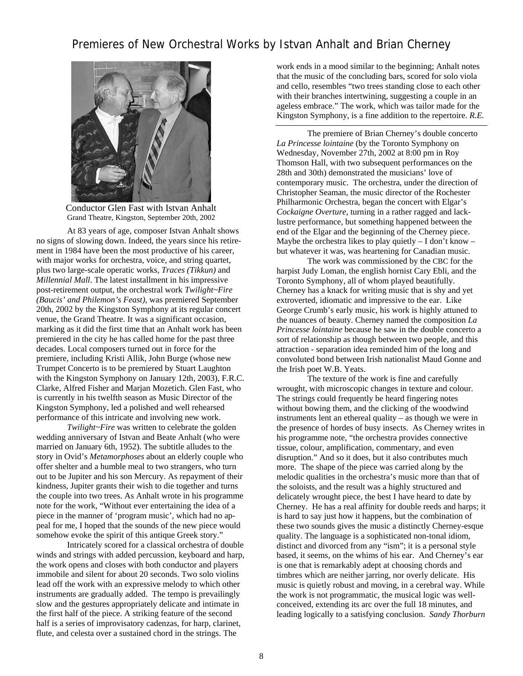## Premieres of New Orchestral Works by Istvan Anhalt and Brian Cherney



Conductor Glen Fast with Istvan Anhalt Grand Theatre, Kingston, September 20th, 2002

At 83 years of age, composer Istvan Anhalt shows no signs of slowing down. Indeed, the years since his retirement in 1984 have been the most productive of his career, with major works for orchestra, voice, and string quartet, plus two large-scale operatic works, *Traces (Tikkun)* and *Millennial Mall*. The latest installment in his impressive post-retirement output, the orchestral work *Twilight~Fire (Baucis' and Philemon's Feast)*, was premiered September 20th, 2002 by the Kingston Symphony at its regular concert venue, the Grand Theatre. It was a significant occasion, marking as it did the first time that an Anhalt work has been premiered in the city he has called home for the past three decades. Local composers turned out in force for the premiere, including Kristi Allik, John Burge (whose new Trumpet Concerto is to be premiered by Stuart Laughton with the Kingston Symphony on January 12th, 2003), F.R.C. Clarke, Alfred Fisher and Marjan Mozetich. Glen Fast, who is currently in his twelfth season as Music Director of the Kingston Symphony, led a polished and well rehearsed performance of this intricate and involving new work.

*Twilight~Fire* was written to celebrate the golden wedding anniversary of Istvan and Beate Anhalt (who were married on January 6th, 1952). The subtitle alludes to the story in Ovid's *Metamorphoses* about an elderly couple who offer shelter and a humble meal to two strangers, who turn out to be Jupiter and his son Mercury. As repayment of their kindness, Jupiter grants their wish to die together and turns the couple into two trees. As Anhalt wrote in his programme note for the work, "Without ever entertaining the idea of a piece in the manner of 'program music', which had no appeal for me, I hoped that the sounds of the new piece would somehow evoke the spirit of this antique Greek story."

Intricately scored for a classical orchestra of double winds and strings with added percussion, keyboard and harp, the work opens and closes with both conductor and players immobile and silent for about 20 seconds. Two solo violins lead off the work with an expressive melody to which other instruments are gradually added. The tempo is prevailingly slow and the gestures appropriately delicate and intimate in the first half of the piece. A striking feature of the second half is a series of improvisatory cadenzas, for harp, clarinet, flute, and celesta over a sustained chord in the strings. The

work ends in a mood similar to the beginning; Anhalt notes that the music of the concluding bars, scored for solo viola and cello, resembles "two trees standing close to each other with their branches intertwining, suggesting a couple in an ageless embrace." The work, which was tailor made for the Kingston Symphony, is a fine addition to the repertoire. *R.E.*

The premiere of Brian Cherney's double concerto *La Princesse lointaine* (by the Toronto Symphony on Wednesday, November 27th, 2002 at 8:00 pm in Roy Thomson Hall, with two subsequent performances on the 28th and 30th) demonstrated the musicians' love of contemporary music. The orchestra, under the direction of Christopher Seaman, the music director of the Rochester Philharmonic Orchestra, began the concert with Elgar's *Cockaigne Overture*, turning in a rather ragged and lacklustre performance, but something happened between the end of the Elgar and the beginning of the Cherney piece. Maybe the orchestra likes to play quietly  $- I$  don't know  $- I$ but whatever it was, was heartening for Canadian music.

The work was commissioned by the CBC for the harpist Judy Loman, the english hornist Cary Ebli, and the Toronto Symphony, all of whom played beautifully. Cherney has a knack for writing music that is shy and yet extroverted, idiomatic and impressive to the ear. Like George Crumb's early music, his work is highly attuned to the nuances of beauty. Cherney named the composition *La Princesse lointaine* because he saw in the double concerto a sort of relationship as though between two people, and this attraction - separation idea reminded him of the long and convoluted bond between Irish nationalist Maud Gonne and the Irish poet W.B. Yeats.

The texture of the work is fine and carefully wrought, with microscopic changes in texture and colour. The strings could frequently be heard fingering notes without bowing them, and the clicking of the woodwind instruments lent an ethereal quality – as though we were in the presence of hordes of busy insects. As Cherney writes in his programme note, "the orchestra provides connective tissue, colour, amplification, commentary, and even disruption." And so it does, but it also contributes much more. The shape of the piece was carried along by the melodic qualities in the orchestra's music more than that of the soloists, and the result was a highly structured and delicately wrought piece, the best I have heard to date by Cherney. He has a real affinity for double reeds and harps; it is hard to say just how it happens, but the combination of these two sounds gives the music a distinctly Cherney-esque quality. The language is a sophisticated non-tonal idiom, distinct and divorced from any "ism"; it is a personal style based, it seems, on the whims of his ear. And Cherney's ear is one that is remarkably adept at choosing chords and timbres which are neither jarring, nor overly delicate. His music is quietly robust and moving, in a cerebral way. While the work is not programmatic, the musical logic was wellconceived, extending its arc over the full 18 minutes, and leading logically to a satisfying conclusion. *Sandy Thorburn*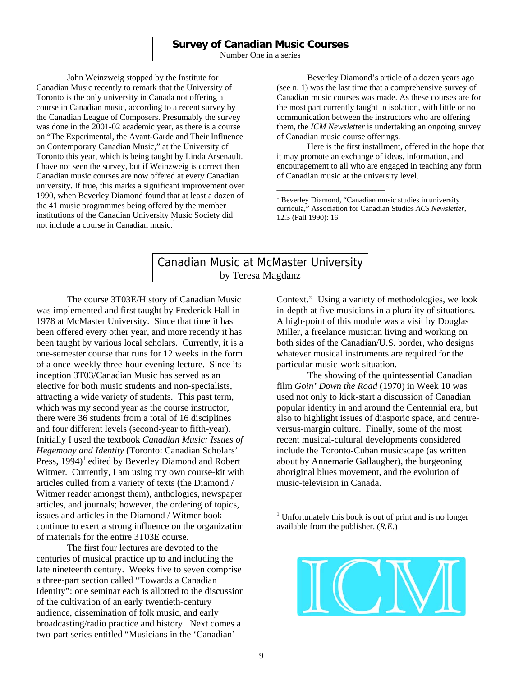#### **Survey of Canadian Music Courses**  Number One in a series

John Weinzweig stopped by the Institute for Canadian Music recently to remark that the University of Toronto is the only university in Canada not offering a course in Canadian music, according to a recent survey by the Canadian League of Composers. Presumably the survey was done in the 2001-02 academic year, as there is a course on "The Experimental, the Avant-Garde and Their Influence on Contemporary Canadian Music," at the University of Toronto this year, which is being taught by Linda Arsenault. I have not seen the survey, but if Weinzweig is correct then Canadian music courses are now offered at every Canadian university. If true, this marks a significant improvement over 1990, when Beverley Diamond found that at least a dozen of the 41 music programmes being offered by the member institutions of the Canadian University Music Society did not include a course in Canadian music.<sup>1</sup>

Beverley Diamond's article of a dozen years ago (see n. 1) was the last time that a comprehensive survey of Canadian music courses was made. As these courses are for the most part currently taught in isolation, with little or no communication between the instructors who are offering them, the *ICM Newsletter* is undertaking an ongoing survey of Canadian music course offerings.

Here is the first installment, offered in the hope that it may promote an exchange of ideas, information, and encouragement to all who are engaged in teaching any form of Canadian music at the university level.

<sup>1</sup> Beverley Diamond, "Canadian music studies in university curricula," Association for Canadian Studies *ACS Newsletter*, 12.3 (Fall 1990): 16

\_\_\_\_\_\_\_\_\_\_\_\_\_\_\_\_\_\_\_\_\_\_\_

### Canadian Music at McMaster University by Teresa Magdanz

The course 3T03E/History of Canadian Music was implemented and first taught by Frederick Hall in 1978 at McMaster University. Since that time it has been offered every other year, and more recently it has been taught by various local scholars. Currently, it is a one-semester course that runs for 12 weeks in the form of a once-weekly three-hour evening lecture. Since its inception 3T03/Canadian Music has served as an elective for both music students and non-specialists, attracting a wide variety of students. This past term, which was my second year as the course instructor, there were 36 students from a total of 16 disciplines and four different levels (second-year to fifth-year). Initially I used the textbook *Canadian Music: Issues of Hegemony and Identity* (Toronto: Canadian Scholars' Press, 1994)<sup>1</sup> edited by Beverley Diamond and Robert Witmer. Currently, I am using my own course-kit with articles culled from a variety of texts (the Diamond / Witmer reader amongst them), anthologies, newspaper articles, and journals; however, the ordering of topics, issues and articles in the Diamond / Witmer book continue to exert a strong influence on the organization of materials for the entire 3T03E course.

The first four lectures are devoted to the centuries of musical practice up to and including the late nineteenth century. Weeks five to seven comprise a three-part section called "Towards a Canadian Identity": one seminar each is allotted to the discussion of the cultivation of an early twentieth-century audience, dissemination of folk music, and early broadcasting/radio practice and history. Next comes a two-part series entitled "Musicians in the 'Canadian'

Context." Using a variety of methodologies, we look in-depth at five musicians in a plurality of situations. A high-point of this module was a visit by Douglas Miller, a freelance musician living and working on both sides of the Canadian/U.S. border, who designs whatever musical instruments are required for the particular music-work situation.

The showing of the quintessential Canadian film *Goin' Down the Road* (1970) in Week 10 was used not only to kick-start a discussion of Canadian popular identity in and around the Centennial era, but also to highlight issues of diasporic space, and centreversus-margin culture. Finally, some of the most recent musical-cultural developments considered include the Toronto-Cuban musicscape (as written about by Annemarie Gallaugher), the burgeoning aboriginal blues movement, and the evolution of music-television in Canada.

<sup>1</sup> Unfortunately this book is out of print and is no longer available from the publisher. (*R.E.*)



 $\overline{a}$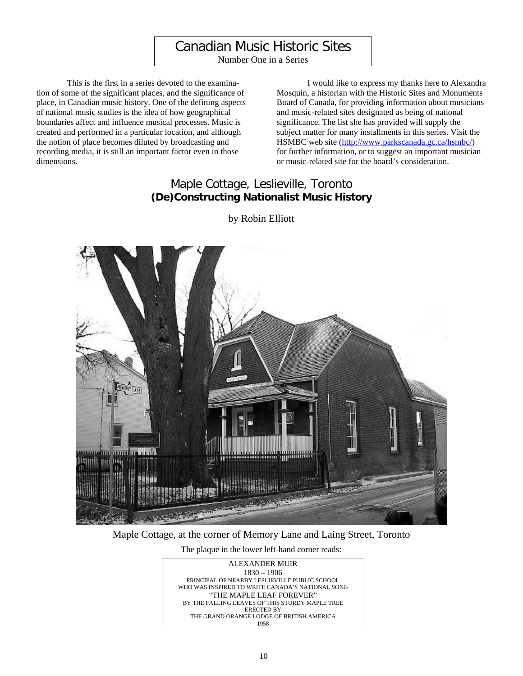# Canadian Music Historic Sites

Number One in a Series

This is the first in a series devoted to the examination of some of the significant places, and the significance of place, in Canadian music history. One of the defining aspects of national music studies is the idea of how geographical boundaries affect and influence musical processes. Music is created and performed in a particular location, and although the notion of place becomes diluted by broadcasting and recording media, it is still an important factor even in those dimensions.

I would like to express my thanks here to Alexandra Mosquin, a historian with the Historic Sites and Monuments Board of Canada, for providing information about musicians and music-related sites designated as being of national significance. The list she has provided will supply the subject matter for many installments in this series. Visit the HSMBC web site (http://www.parkscanada.gc.ca/hsmbc/) for further information, or to suggest an important musician or music-related site for the board's consideration.

# Maple Cottage, Leslieville, Toronto **(De)Constructing Nationalist Music History**

by Robin Elliott



#### Maple Cottage, at the corner of Memory Lane and Laing Street, Toronto

The plaque in the lower left-hand corner reads:

ALEXANDER MUIR 1830 – 1906 PRINCIPAL OF NEARBY LESLIEVILLE PUBLIC SCHOOL WHO WAS INSPIRED TO WRITE CANADA'S NATIONAL SONG "THE MAPLE LEAF FOREVER" BY THE FALLING LEAVES OF THIS STURDY MAPLE TREE ERECTED BY THE GRAND ORANGE LODGE OF BRITISH AMERICA 1958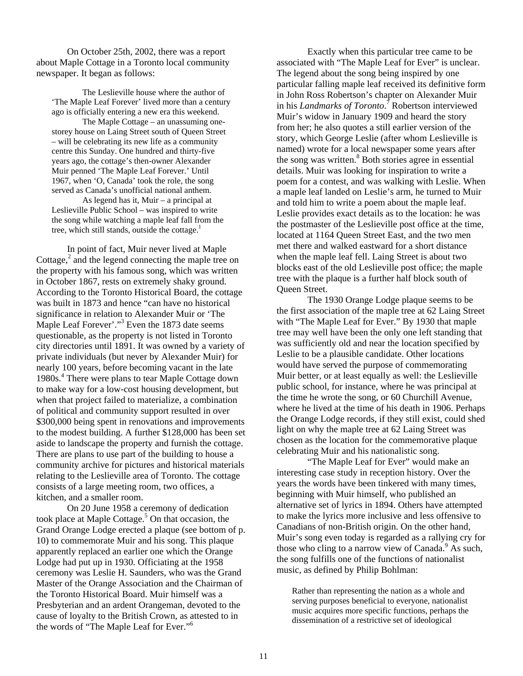On October 25th, 2002, there was a report about Maple Cottage in a Toronto local community newspaper. It began as follows:

The Leslieville house where the author of 'The Maple Leaf Forever' lived more than a century ago is officially entering a new era this weekend.

The Maple Cottage – an unassuming onestorey house on Laing Street south of Queen Street – will be celebrating its new life as a community centre this Sunday. One hundred and thirty-five years ago, the cottage's then-owner Alexander Muir penned 'The Maple Leaf Forever.' Until 1967, when 'O, Canada' took the role, the song served as Canada's unofficial national anthem. As legend has it, Muir – a principal at Leslieville Public School – was inspired to write the song while watching a maple leaf fall from the tree, which still stands, outside the cottage. $<sup>1</sup>$ </sup>

In point of fact, Muir never lived at Maple Cottage, $2$  and the legend connecting the maple tree on the property with his famous song, which was written in October 1867, rests on extremely shaky ground. According to the Toronto Historical Board, the cottage was built in 1873 and hence "can have no historical significance in relation to Alexander Muir or 'The Maple Leaf Forever'."<sup>3</sup> Even the 1873 date seems questionable, as the property is not listed in Toronto city directories until 1891. It was owned by a variety of private individuals (but never by Alexander Muir) for nearly 100 years, before becoming vacant in the late 1980s.<sup>4</sup> There were plans to tear Maple Cottage down to make way for a low-cost housing development, but when that project failed to materialize, a combination of political and community support resulted in over \$300,000 being spent in renovations and improvements to the modest building. A further \$128,000 has been set aside to landscape the property and furnish the cottage. There are plans to use part of the building to house a community archive for pictures and historical materials relating to the Leslieville area of Toronto. The cottage consists of a large meeting room, two offices, a kitchen, and a smaller room.

On 20 June 1958 a ceremony of dedication took place at Maple Cottage.<sup>5</sup> On that occasion, the Grand Orange Lodge erected a plaque (see bottom of p. 10) to commemorate Muir and his song. This plaque apparently replaced an earlier one which the Orange Lodge had put up in 1930. Officiating at the 1958 ceremony was Leslie H. Saunders, who was the Grand Master of the Orange Association and the Chairman of the Toronto Historical Board. Muir himself was a Presbyterian and an ardent Orangeman, devoted to the cause of loyalty to the British Crown, as attested to in the words of "The Maple Leaf for Ever."<sup>6</sup>

 Exactly when this particular tree came to be associated with "The Maple Leaf for Ever" is unclear. The legend about the song being inspired by one particular falling maple leaf received its definitive form in John Ross Robertson's chapter on Alexander Muir in his *Landmarks of Toronto*. 7 Robertson interviewed Muir's widow in January 1909 and heard the story from her; he also quotes a still earlier version of the story, which George Leslie (after whom Leslieville is named) wrote for a local newspaper some years after the song was written.<sup>8</sup> Both stories agree in essential details. Muir was looking for inspiration to write a poem for a contest, and was walking with Leslie. When a maple leaf landed on Leslie's arm, he turned to Muir and told him to write a poem about the maple leaf. Leslie provides exact details as to the location: he was the postmaster of the Leslieville post office at the time, located at 1164 Queen Street East, and the two men met there and walked eastward for a short distance when the maple leaf fell. Laing Street is about two blocks east of the old Leslieville post office; the maple tree with the plaque is a further half block south of Queen Street.

The 1930 Orange Lodge plaque seems to be the first association of the maple tree at 62 Laing Street with "The Maple Leaf for Ever." By 1930 that maple tree may well have been the only one left standing that was sufficiently old and near the location specified by Leslie to be a plausible candidate. Other locations would have served the purpose of commemorating Muir better, or at least equally as well: the Leslieville public school, for instance, where he was principal at the time he wrote the song, or 60 Churchill Avenue, where he lived at the time of his death in 1906. Perhaps the Orange Lodge records, if they still exist, could shed light on why the maple tree at 62 Laing Street was chosen as the location for the commemorative plaque celebrating Muir and his nationalistic song.

"The Maple Leaf for Ever" would make an interesting case study in reception history. Over the years the words have been tinkered with many times, beginning with Muir himself, who published an alternative set of lyrics in 1894. Others have attempted to make the lyrics more inclusive and less offensive to Canadians of non-British origin. On the other hand, Muir's song even today is regarded as a rallying cry for those who cling to a narrow view of Canada.<sup>9</sup> As such, the song fulfills one of the functions of nationalist music, as defined by Philip Bohlman:

Rather than representing the nation as a whole and serving purposes beneficial to everyone, nationalist music acquires more specific functions, perhaps the dissemination of a restrictive set of ideological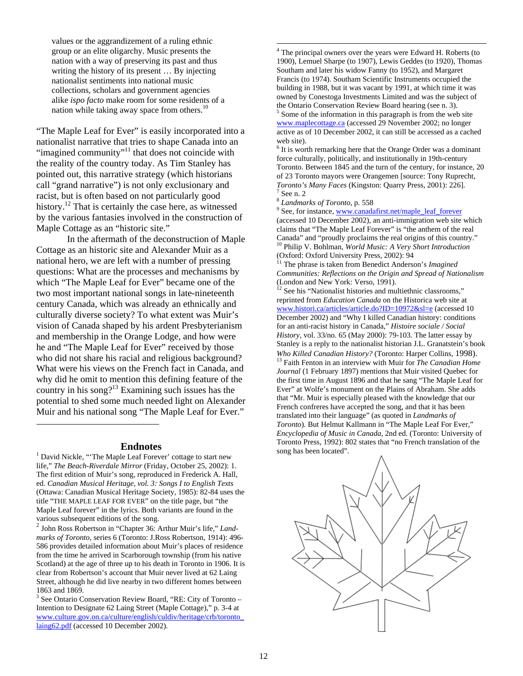values or the aggrandizement of a ruling ethnic group or an elite oligarchy. Music presents the nation with a way of preserving its past and thus writing the history of its present … By injecting nationalist sentiments into national music collections, scholars and government agencies alike *ispo facto* make room for some residents of a nation while taking away space from others.<sup>10</sup>

"The Maple Leaf for Ever" is easily incorporated into a nationalist narrative that tries to shape Canada into an "imagined community"<sup>11</sup> that does not coincide with the reality of the country today. As Tim Stanley has pointed out, this narrative strategy (which historians call "grand narrative") is not only exclusionary and racist, but is often based on not particularly good history.<sup>12</sup> That is certainly the case here, as witnessed by the various fantasies involved in the construction of Maple Cottage as an "historic site."

In the aftermath of the deconstruction of Maple Cottage as an historic site and Alexander Muir as a national hero, we are left with a number of pressing questions: What are the processes and mechanisms by which "The Maple Leaf for Ever" became one of the two most important national songs in late-nineteenth century Canada, which was already an ethnically and culturally diverse society? To what extent was Muir's vision of Canada shaped by his ardent Presbyterianism and membership in the Orange Lodge, and how were he and "The Maple Leaf for Ever" received by those who did not share his racial and religious background? What were his views on the French fact in Canada, and why did he omit to mention this defining feature of the country in his song?<sup>13</sup> Examining such issues has the potential to shed some much needed light on Alexander Muir and his national song "The Maple Leaf for Ever."

 $\overline{a}$ 

**Endnotes**<br><sup>1</sup> David Nickle, "'The Maple Leaf Forever' cottage to start new life," *The Beach-Riverdale Mirror* (Friday, October 25, 2002): 1. The first edition of Muir's song, reproduced in Frederick A. Hall, ed. *Canadian Musical Heritage, vol. 3: Songs I to English Texts* (Ottawa: Canadian Musical Heritage Society, 1985): 82-84 uses the title "THE MAPLE LEAF FOR EVER" on the title page, but "the Maple Leaf forever" in the lyrics. Both variants are found in the various subsequent editions of the song. 2 John Ross Robertson in "Chapter 36: Arthur Muir's life," *Land-*

*marks of Toronto*, series 6 (Toronto: J.Ross Robertson, 1914): 496- 586 provides detailed information about Muir's places of residence from the time he arrived in Scarborough township (from his native Scotland) at the age of three up to his death in Toronto in 1906. It is clear from Robertson's account that Muir never lived at 62 Laing Street, although he did live nearby in two different homes between 1863 and 1869.

 $3$  See Ontario Conservation Review Board, "RE: City of Toronto – Intention to Designate 62 Laing Street (Maple Cottage)," p. 3-4 at www.culture.gov.on.ca/culture/english/culdiv/heritage/crb/toronto\_ laing62.pdf (accessed 10 December 2002).

<sup>4</sup> The principal owners over the years were Edward H. Roberts (to 1900), Lemuel Sharpe (to 1907), Lewis Geddes (to 1920), Thomas Southam and later his widow Fanny (to 1952), and Margaret Francis (to 1974). Southam Scientific Instruments occupied the building in 1988, but it was vacant by 1991, at which time it was owned by Conestoga Investments Limited and was the subject of the Ontario Conservation Review Board hearing (see n. 3). 5 Some of the information in this paragraph is from the web site www.maplecottage.ca (accessed 29 November 2002; no longer active as of 10 December 2002, it can still be accessed as a cached web site).

 $6$  It is worth remarking here that the Orange Order was a dominant force culturally, politically, and institutionally in 19th-century Toronto. Between 1845 and the turn of the century, for instance, 20 of 23 Toronto mayors were Orangemen [source: Tony Ruprecht, *Toronto's Many Faces* (Kingston: Quarry Press, 2001): 226].<br><sup>7</sup> See n. 2

<sup>8</sup> *Landmarks of Toronto*, p. 558

<sup>9</sup> See, for instance, www.canadafirst.net/maple\_leaf\_forever (accessed 10 December 2002), an anti-immigration web site which claims that "The Maple Leaf Forever" is "the anthem of the real Canada" and "proudly proclaims the real origins of this country." 10 Philip V. Bohlman, *World Music: A Very Short Introduction*

(Oxford: Oxford University Press, 2002): 94 11 The phrase is taken from Benedict Anderson's *Imagined* 

*Communities: Reflections on the Origin and Spread of Nationalism* (London and New York: Verso, 1991).<br><sup>12</sup> See his "Nationalist histories and multiethnic classrooms,"

reprinted from *Education Canada* on the Historica web site at www.histori.ca/articles/article.do?ID=10972&sl=e (accessed 10 December 2002) and "Why I killed Canadian history: conditions for an anti-racist history in Canada," *Histoire sociale / Social History*, vol. 33/no. 65 (May 2000): 79-103. The latter essay by Stanley is a reply to the nationalist historian J.L. Granatstein's book *Who Killed Canadian History?* (Toronto: Harper Collins, 1998). <sup>13</sup> Faith Fenton in an interview with Muir for *The Canadian Home Journal* (1 February 1897) mentions that Muir visited Quebec for the first time in August 1896 and that he sang "The Maple Leaf for Ever" at Wolfe's monument on the Plains of Abraham. She adds that "Mr. Muir is especially pleased with the knowledge that our French confreres have accepted the song, and that it has been translated into their language" (as quoted in *Landmarks of Toronto*). But Helmut Kallmann in "The Maple Leaf For Ever," *Encyclopedia of Music in Canada*, 2nd ed. (Toronto: University of Toronto Press, 1992): 802 states that "no French translation of the song has been located".

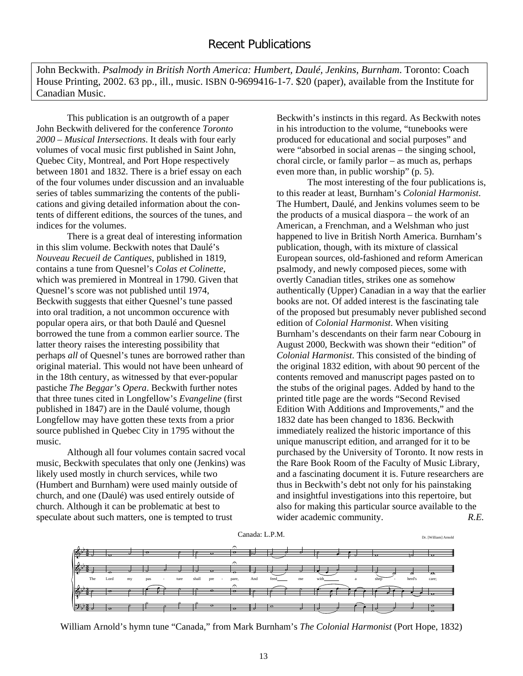John Beckwith. *Psalmody in British North America: Humbert, Daulé, Jenkins, Burnham*. Toronto: Coach House Printing, 2002. 63 pp., ill., music. ISBN 0-9699416-1-7. \$20 (paper), available from the Institute for Canadian Music.

This publication is an outgrowth of a paper John Beckwith delivered for the conference *Toronto 2000 – Musical Intersections*. It deals with four early volumes of vocal music first published in Saint John, Quebec City, Montreal, and Port Hope respectively between 1801 and 1832. There is a brief essay on each of the four volumes under discussion and an invaluable series of tables summarizing the contents of the publications and giving detailed information about the contents of different editions, the sources of the tunes, and indices for the volumes.

There is a great deal of interesting information in this slim volume. Beckwith notes that Daulé's *Nouveau Recueil de Cantiques*, published in 1819, contains a tune from Quesnel's *Colas et Colinette*, which was premiered in Montreal in 1790. Given that Quesnel's score was not published until 1974, Beckwith suggests that either Quesnel's tune passed into oral tradition, a not uncommon occurence with popular opera airs, or that both Daulé and Quesnel borrowed the tune from a common earlier source. The latter theory raises the interesting possibility that perhaps *all* of Quesnel's tunes are borrowed rather than original material. This would not have been unheard of in the 18th century, as witnessed by that ever-popular pastiche *The Beggar's Opera*. Beckwith further notes that three tunes cited in Longfellow's *Evangeline* (first published in 1847) are in the Daulé volume, though Longfellow may have gotten these texts from a prior source published in Quebec City in 1795 without the music.

Although all four volumes contain sacred vocal music, Beckwith speculates that only one (Jenkins) was likely used mostly in church services, while two (Humbert and Burnham) were used mainly outside of church, and one (Daulé) was used entirely outside of church. Although it can be problematic at best to speculate about such matters, one is tempted to trust

Beckwith's instincts in this regard. As Beckwith notes in his introduction to the volume, "tunebooks were produced for educational and social purposes" and were "absorbed in social arenas – the singing school, choral circle, or family parlor – as much as, perhaps even more than, in public worship" (p. 5).

The most interesting of the four publications is, to this reader at least, Burnham's *Colonial Harmonist*. The Humbert, Daulé, and Jenkins volumes seem to be the products of a musical diaspora – the work of an American, a Frenchman, and a Welshman who just happened to live in British North America. Burnham's publication, though, with its mixture of classical European sources, old-fashioned and reform American psalmody, and newly composed pieces, some with overtly Canadian titles, strikes one as somehow authentically (Upper) Canadian in a way that the earlier books are not. Of added interest is the fascinating tale of the proposed but presumably never published second edition of *Colonial Harmonist*. When visiting Burnham's descendants on their farm near Cobourg in August 2000, Beckwith was shown their "edition" of *Colonial Harmonist*. This consisted of the binding of the original 1832 edition, with about 90 percent of the contents removed and manuscript pages pasted on to the stubs of the original pages. Added by hand to the printed title page are the words "Second Revised Edition With Additions and Improvements," and the 1832 date has been changed to 1836. Beckwith immediately realized the historic importance of this unique manuscript edition, and arranged for it to be purchased by the University of Toronto. It now rests in the Rare Book Room of the Faculty of Music Library, and a fascinating document it is. Future researchers are thus in Beckwith's debt not only for his painstaking and insightful investigations into this repertoire, but also for making this particular source available to the wider academic community. **R.E.** 



William Arnold's hymn tune "Canada," from Mark Burnham's *The Colonial Harmonist* (Port Hope, 1832)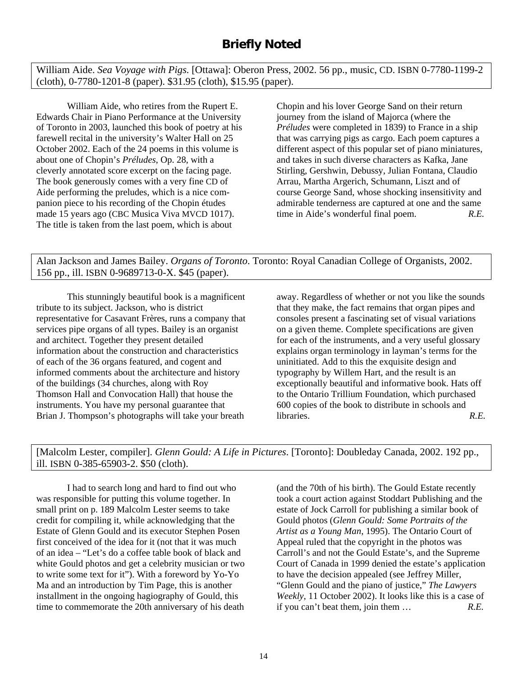William Aide. *Sea Voyage with Pigs*. [Ottawa]: Oberon Press, 2002. 56 pp., music, CD. ISBN 0-7780-1199-2 (cloth), 0-7780-1201-8 (paper). \$31.95 (cloth), \$15.95 (paper).

William Aide, who retires from the Rupert E. Edwards Chair in Piano Performance at the University of Toronto in 2003, launched this book of poetry at his farewell recital in the university's Walter Hall on 25 October 2002. Each of the 24 poems in this volume is about one of Chopin's *Préludes*, Op. 28, with a cleverly annotated score excerpt on the facing page. The book generously comes with a very fine CD of Aide performing the preludes, which is a nice companion piece to his recording of the Chopin études made 15 years ago (CBC Musica Viva MVCD 1017). The title is taken from the last poem, which is about

Chopin and his lover George Sand on their return journey from the island of Majorca (where the *Préludes* were completed in 1839) to France in a ship that was carrying pigs as cargo. Each poem captures a different aspect of this popular set of piano miniatures, and takes in such diverse characters as Kafka, Jane Stirling, Gershwin, Debussy, Julian Fontana, Claudio Arrau, Martha Argerich, Schumann, Liszt and of course George Sand, whose shocking insensitivity and admirable tenderness are captured at one and the same time in Aide's wonderful final poem. *R.E.*

Alan Jackson and James Bailey. *Organs of Toronto*. Toronto: Royal Canadian College of Organists, 2002. 156 pp., ill. ISBN 0-9689713-0-X. \$45 (paper).

This stunningly beautiful book is a magnificent tribute to its subject. Jackson, who is district representative for Casavant Frères, runs a company that services pipe organs of all types. Bailey is an organist and architect. Together they present detailed information about the construction and characteristics of each of the 36 organs featured, and cogent and informed comments about the architecture and history of the buildings (34 churches, along with Roy Thomson Hall and Convocation Hall) that house the instruments. You have my personal guarantee that Brian J. Thompson's photographs will take your breath

away. Regardless of whether or not you like the sounds that they make, the fact remains that organ pipes and consoles present a fascinating set of visual variations on a given theme. Complete specifications are given for each of the instruments, and a very useful glossary explains organ terminology in layman's terms for the uninitiated. Add to this the exquisite design and typography by Willem Hart, and the result is an exceptionally beautiful and informative book. Hats off to the Ontario Trillium Foundation, which purchased 600 copies of the book to distribute in schools and libraries. *R.E.*

[Malcolm Lester, compiler]. *Glenn Gould: A Life in Pictures*. [Toronto]: Doubleday Canada, 2002. 192 pp., ill. ISBN 0-385-65903-2. \$50 (cloth).

I had to search long and hard to find out who was responsible for putting this volume together. In small print on p. 189 Malcolm Lester seems to take credit for compiling it, while acknowledging that the Estate of Glenn Gould and its executor Stephen Posen first conceived of the idea for it (not that it was much of an idea – "Let's do a coffee table book of black and white Gould photos and get a celebrity musician or two to write some text for it"). With a foreword by Yo-Yo Ma and an introduction by Tim Page, this is another installment in the ongoing hagiography of Gould, this time to commemorate the 20th anniversary of his death

(and the 70th of his birth). The Gould Estate recently took a court action against Stoddart Publishing and the estate of Jock Carroll for publishing a similar book of Gould photos (*Glenn Gould: Some Portraits of the Artist as a Young Man*, 1995). The Ontario Court of Appeal ruled that the copyright in the photos was Carroll's and not the Gould Estate's, and the Supreme Court of Canada in 1999 denied the estate's application to have the decision appealed (see Jeffrey Miller, "Glenn Gould and the piano of justice," *The Lawyers Weekly*, 11 October 2002). It looks like this is a case of if you can't beat them, join them … *R.E.*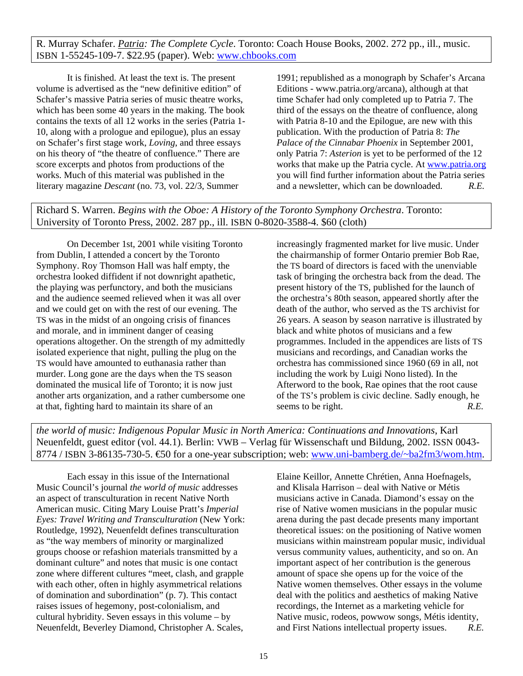R. Murray Schafer. *Patria: The Complete Cycle*. Toronto: Coach House Books, 2002. 272 pp., ill., music. ISBN 1-55245-109-7. \$22.95 (paper). Web: www.chbooks.com

It is finished. At least the text is. The present volume is advertised as the "new definitive edition" of Schafer's massive Patria series of music theatre works, which has been some 40 years in the making. The book contains the texts of all 12 works in the series (Patria 1- 10, along with a prologue and epilogue), plus an essay on Schafer's first stage work, *Loving*, and three essays on his theory of "the theatre of confluence." There are score excerpts and photos from productions of the works. Much of this material was published in the literary magazine *Descant* (no. 73, vol. 22/3, Summer

1991; republished as a monograph by Schafer's Arcana Editions - www.patria.org/arcana), although at that time Schafer had only completed up to Patria 7. The third of the essays on the theatre of confluence, along with Patria 8-10 and the Epilogue, are new with this publication. With the production of Patria 8: *The Palace of the Cinnabar Phoenix* in September 2001, only Patria 7: *Asterion* is yet to be performed of the 12 works that make up the Patria cycle. At www.patria.org you will find further information about the Patria series and a newsletter, which can be downloaded. *R.E.*

Richard S. Warren. *Begins with the Oboe: A History of the Toronto Symphony Orchestra*. Toronto: University of Toronto Press, 2002. 287 pp., ill. ISBN 0-8020-3588-4. \$60 (cloth)

On December 1st, 2001 while visiting Toronto from Dublin, I attended a concert by the Toronto Symphony. Roy Thomson Hall was half empty, the orchestra looked diffident if not downright apathetic, the playing was perfunctory, and both the musicians and the audience seemed relieved when it was all over and we could get on with the rest of our evening. The TS was in the midst of an ongoing crisis of finances and morale, and in imminent danger of ceasing operations altogether. On the strength of my admittedly isolated experience that night, pulling the plug on the TS would have amounted to euthanasia rather than murder. Long gone are the days when the TS season dominated the musical life of Toronto; it is now just another arts organization, and a rather cumbersome one at that, fighting hard to maintain its share of an

increasingly fragmented market for live music. Under the chairmanship of former Ontario premier Bob Rae, the TS board of directors is faced with the unenviable task of bringing the orchestra back from the dead. The present history of the TS, published for the launch of the orchestra's 80th season, appeared shortly after the death of the author, who served as the TS archivist for 26 years. A season by season narrative is illustrated by black and white photos of musicians and a few programmes. Included in the appendices are lists of TS musicians and recordings, and Canadian works the orchestra has commissioned since 1960 (69 in all, not including the work by Luigi Nono listed). In the Afterword to the book, Rae opines that the root cause of the TS's problem is civic decline. Sadly enough, he seems to be right. *R.E.* 

*the world of music: Indigenous Popular Music in North America: Continuations and Innovations*, Karl Neuenfeldt, guest editor (vol. 44.1). Berlin: VWB – Verlag für Wissenschaft und Bildung, 2002. ISSN 0043- 8774 / ISBN 3-86135-730-5.  $\bigoplus$  for a one-year subscription; web: www.uni-bamberg.de/~ba2fm3/wom.htm.

Each essay in this issue of the International Music Council's journal *the world of music* addresses an aspect of transculturation in recent Native North American music. Citing Mary Louise Pratt's *Imperial Eyes: Travel Writing and Transculturation* (New York: Routledge, 1992), Neuenfeldt defines transculturation as "the way members of minority or marginalized groups choose or refashion materials transmitted by a dominant culture" and notes that music is one contact zone where different cultures "meet, clash, and grapple with each other, often in highly asymmetrical relations of domination and subordination" (p. 7). This contact raises issues of hegemony, post-colonialism, and cultural hybridity. Seven essays in this volume – by Neuenfeldt, Beverley Diamond, Christopher A. Scales,

Elaine Keillor, Annette Chrétien, Anna Hoefnagels, and Klisala Harrison – deal with Native or Métis musicians active in Canada. Diamond's essay on the rise of Native women musicians in the popular music arena during the past decade presents many important theoretical issues: on the positioning of Native women musicians within mainstream popular music, individual versus community values, authenticity, and so on. An important aspect of her contribution is the generous amount of space she opens up for the voice of the Native women themselves. Other essays in the volume deal with the politics and aesthetics of making Native recordings, the Internet as a marketing vehicle for Native music, rodeos, powwow songs, Métis identity, and First Nations intellectual property issues. *R.E.*